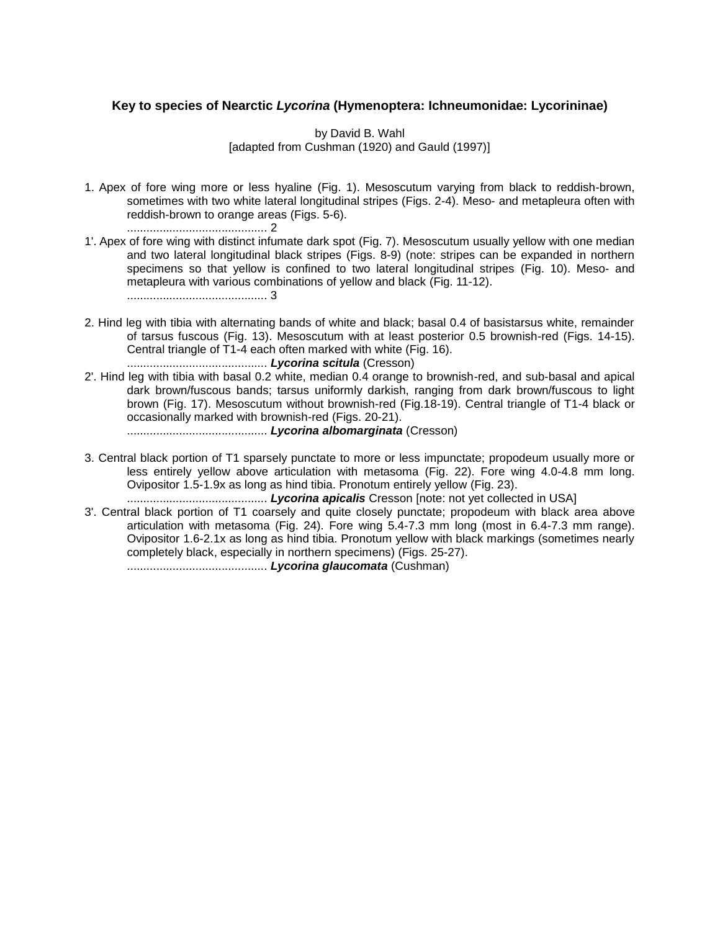## **Key to species of Nearctic** *Lycorina* **(Hymenoptera: Ichneumonidae: Lycorininae)**

## by David B. Wahl [adapted from Cushman (1920) and Gauld (1997)]

- 1. Apex of fore wing more or less hyaline (Fig. 1). Mesoscutum varying from black to reddish-brown, sometimes with two white lateral longitudinal stripes (Figs. 2-4). Meso- and metapleura often with reddish-brown to orange areas (Figs. 5-6). ........................................... 2
- 1'. Apex of fore wing with distinct infumate dark spot (Fig. 7). Mesoscutum usually yellow with one median and two lateral longitudinal black stripes (Figs. 8-9) (note: stripes can be expanded in northern specimens so that yellow is confined to two lateral longitudinal stripes (Fig. 10). Meso- and metapleura with various combinations of yellow and black (Fig. 11-12). ........................................... 3
- 2. Hind leg with tibia with alternating bands of white and black; basal 0.4 of basistarsus white, remainder of tarsus fuscous (Fig. 13). Mesoscutum with at least posterior 0.5 brownish-red (Figs. 14-15). Central triangle of T1-4 each often marked with white (Fig. 16). ........................................... *Lycorina scitula* (Cresson)
- 2'. Hind leg with tibia with basal 0.2 white, median 0.4 orange to brownish-red, and sub-basal and apical dark brown/fuscous bands; tarsus uniformly darkish, ranging from dark brown/fuscous to light brown (Fig. 17). Mesoscutum without brownish-red (Fig.18-19). Central triangle of T1-4 black or occasionally marked with brownish-red (Figs. 20-21). ........................................... *Lycorina albomarginata* (Cresson)
- 3. Central black portion of T1 sparsely punctate to more or less impunctate; propodeum usually more or
- less entirely yellow above articulation with metasoma (Fig. 22). Fore wing 4.0-4.8 mm long. Ovipositor 1.5-1.9x as long as hind tibia. Pronotum entirely yellow (Fig. 23). ........................................... *Lycorina apicalis* Cresson [note: not yet collected in USA]
- 3'. Central black portion of T1 coarsely and quite closely punctate; propodeum with black area above articulation with metasoma (Fig. 24). Fore wing 5.4-7.3 mm long (most in 6.4-7.3 mm range). Ovipositor 1.6-2.1x as long as hind tibia. Pronotum yellow with black markings (sometimes nearly completely black, especially in northern specimens) (Figs. 25-27). ........................................... *Lycorina glaucomata* (Cushman)